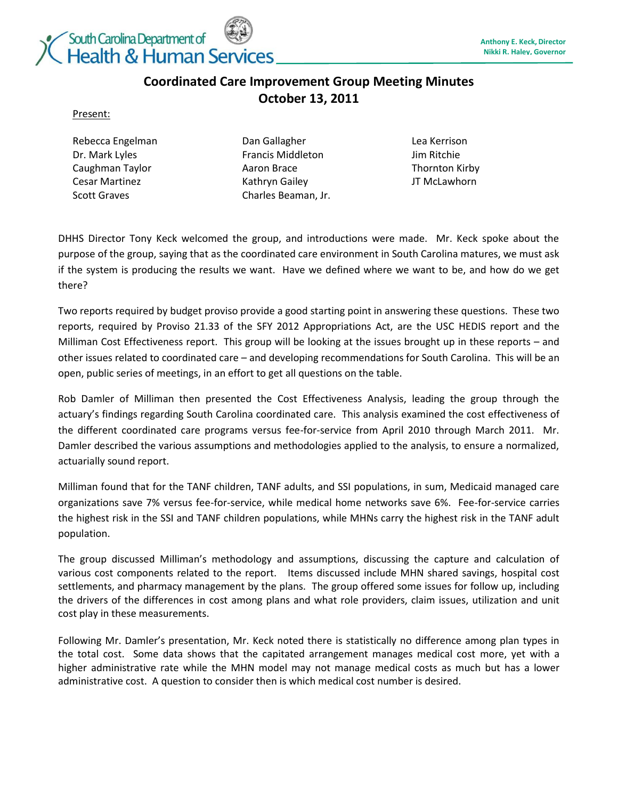

## **Coordinated Care Improvement Group Meeting Minutes October 13, 2011**

## Present:

Rebecca Engelman Dr. Mark Lyles Caughman Taylor Cesar Martinez Scott Graves

Dan Gallagher Francis Middleton Aaron Brace Kathryn Gailey Charles Beaman, Jr.

Lea Kerrison Jim Ritchie Thornton Kirby JT McLawhorn

DHHS Director Tony Keck welcomed the group, and introductions were made. Mr. Keck spoke about the purpose of the group, saying that as the coordinated care environment in South Carolina matures, we must ask if the system is producing the results we want. Have we defined where we want to be, and how do we get there?

Two reports required by budget proviso provide a good starting point in answering these questions. These two reports, required by Proviso 21.33 of the SFY 2012 Appropriations Act, are the USC HEDIS report and the Milliman Cost Effectiveness report. This group will be looking at the issues brought up in these reports – and other issues related to coordinated care – and developing recommendations for South Carolina. This will be an open, public series of meetings, in an effort to get all questions on the table.

Rob Damler of Milliman then presented the Cost Effectiveness Analysis, leading the group through the actuary's findings regarding South Carolina coordinated care. This analysis examined the cost effectiveness of the different coordinated care programs versus fee-for-service from April 2010 through March 2011. Mr. Damler described the various assumptions and methodologies applied to the analysis, to ensure a normalized, actuarially sound report.

Milliman found that for the TANF children, TANF adults, and SSI populations, in sum, Medicaid managed care organizations save 7% versus fee-for-service, while medical home networks save 6%. Fee-for-service carries the highest risk in the SSI and TANF children populations, while MHNs carry the highest risk in the TANF adult population.

The group discussed Milliman's methodology and assumptions, discussing the capture and calculation of various cost components related to the report. Items discussed include MHN shared savings, hospital cost settlements, and pharmacy management by the plans. The group offered some issues for follow up, including the drivers of the differences in cost among plans and what role providers, claim issues, utilization and unit cost play in these measurements.

Following Mr. Damler's presentation, Mr. Keck noted there is statistically no difference among plan types in the total cost. Some data shows that the capitated arrangement manages medical cost more, yet with a higher administrative rate while the MHN model may not manage medical costs as much but has a lower administrative cost. A question to consider then is which medical cost number is desired.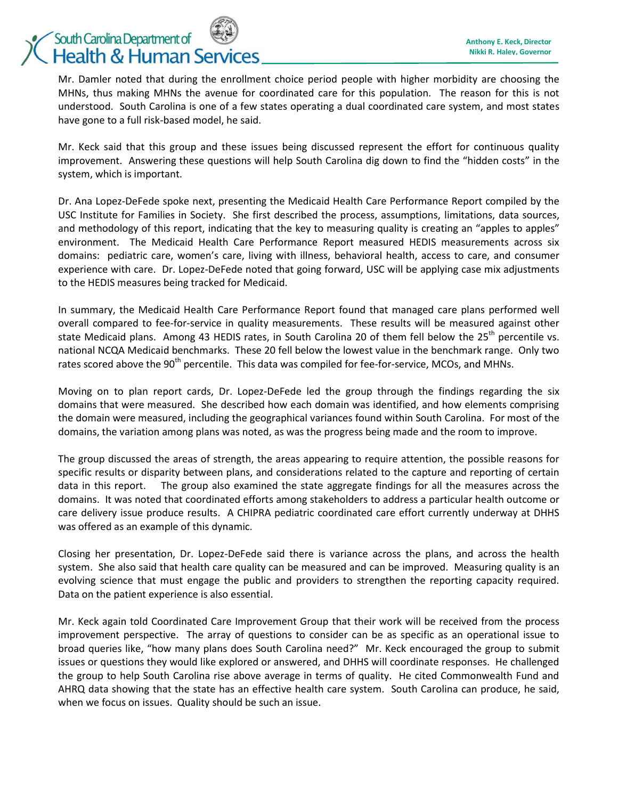Mr. Damler noted that during the enrollment choice period people with higher morbidity are choosing the MHNs, thus making MHNs the avenue for coordinated care for this population. The reason for this is not understood. South Carolina is one of a few states operating a dual coordinated care system, and most states have gone to a full risk-based model, he said.

Mr. Keck said that this group and these issues being discussed represent the effort for continuous quality improvement. Answering these questions will help South Carolina dig down to find the "hidden costs" in the system, which is important.

Dr. Ana Lopez-DeFede spoke next, presenting the Medicaid Health Care Performance Report compiled by the USC Institute for Families in Society. She first described the process, assumptions, limitations, data sources, and methodology of this report, indicating that the key to measuring quality is creating an "apples to apples" environment. The Medicaid Health Care Performance Report measured HEDIS measurements across six domains: pediatric care, women's care, living with illness, behavioral health, access to care, and consumer experience with care. Dr. Lopez-DeFede noted that going forward, USC will be applying case mix adjustments to the HEDIS measures being tracked for Medicaid.

In summary, the Medicaid Health Care Performance Report found that managed care plans performed well overall compared to fee-for-service in quality measurements. These results will be measured against other state Medicaid plans. Among 43 HEDIS rates, in South Carolina 20 of them fell below the 25<sup>th</sup> percentile vs. national NCQA Medicaid benchmarks. These 20 fell below the lowest value in the benchmark range. Only two rates scored above the 90<sup>th</sup> percentile. This data was compiled for fee-for-service, MCOs, and MHNs.

Moving on to plan report cards, Dr. Lopez-DeFede led the group through the findings regarding the six domains that were measured. She described how each domain was identified, and how elements comprising the domain were measured, including the geographical variances found within South Carolina. For most of the domains, the variation among plans was noted, as was the progress being made and the room to improve.

The group discussed the areas of strength, the areas appearing to require attention, the possible reasons for specific results or disparity between plans, and considerations related to the capture and reporting of certain data in this report. The group also examined the state aggregate findings for all the measures across the domains. It was noted that coordinated efforts among stakeholders to address a particular health outcome or care delivery issue produce results. A CHIPRA pediatric coordinated care effort currently underway at DHHS was offered as an example of this dynamic.

Closing her presentation, Dr. Lopez-DeFede said there is variance across the plans, and across the health system. She also said that health care quality can be measured and can be improved. Measuring quality is an evolving science that must engage the public and providers to strengthen the reporting capacity required. Data on the patient experience is also essential.

Mr. Keck again told Coordinated Care Improvement Group that their work will be received from the process improvement perspective. The array of questions to consider can be as specific as an operational issue to broad queries like, "how many plans does South Carolina need?" Mr. Keck encouraged the group to submit issues or questions they would like explored or answered, and DHHS will coordinate responses. He challenged the group to help South Carolina rise above average in terms of quality. He cited Commonwealth Fund and AHRQ data showing that the state has an effective health care system. South Carolina can produce, he said, when we focus on issues. Quality should be such an issue.